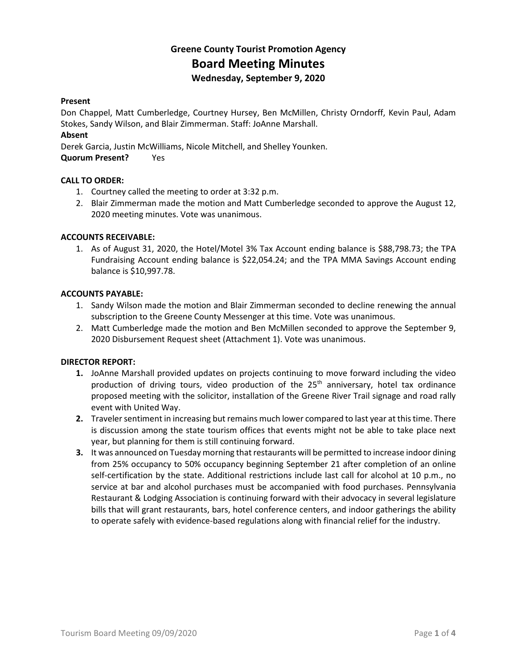## **Greene County Tourist Promotion Agency Board Meeting Minutes Wednesday, September 9, 2020**

#### **Present**

Don Chappel, Matt Cumberledge, Courtney Hursey, Ben McMillen, Christy Orndorff, Kevin Paul, Adam Stokes, Sandy Wilson, and Blair Zimmerman. Staff: JoAnne Marshall.

#### **Absent**

Derek Garcia, Justin McWilliams, Nicole Mitchell, and Shelley Younken.

**Quorum Present?** Yes

#### **CALL TO ORDER:**

- 1. Courtney called the meeting to order at 3:32 p.m.
- 2. Blair Zimmerman made the motion and Matt Cumberledge seconded to approve the August 12, 2020 meeting minutes. Vote was unanimous.

#### **ACCOUNTS RECEIVABLE:**

1. As of August 31, 2020, the Hotel/Motel 3% Tax Account ending balance is \$88,798.73; the TPA Fundraising Account ending balance is \$22,054.24; and the TPA MMA Savings Account ending balance is \$10,997.78.

#### **ACCOUNTS PAYABLE:**

- 1. Sandy Wilson made the motion and Blair Zimmerman seconded to decline renewing the annual subscription to the Greene County Messenger at this time. Vote was unanimous.
- 2. Matt Cumberledge made the motion and Ben McMillen seconded to approve the September 9, 2020 Disbursement Request sheet (Attachment 1). Vote was unanimous.

#### **DIRECTOR REPORT:**

- **1.** JoAnne Marshall provided updates on projects continuing to move forward including the video production of driving tours, video production of the  $25<sup>th</sup>$  anniversary, hotel tax ordinance proposed meeting with the solicitor, installation of the Greene River Trail signage and road rally event with United Way.
- **2.** Traveler sentiment in increasing but remains much lower compared to last year at this time. There is discussion among the state tourism offices that events might not be able to take place next year, but planning for them is still continuing forward.
- **3.** It was announced on Tuesday morning that restaurants will be permitted to increase indoor dining from 25% occupancy to 50% occupancy beginning September 21 after completion of an online self-certification by the state. Additional restrictions include last call for alcohol at 10 p.m., no service at bar and alcohol purchases must be accompanied with food purchases. Pennsylvania Restaurant & Lodging Association is continuing forward with their advocacy in several legislature bills that will grant restaurants, bars, hotel conference centers, and indoor gatherings the ability to operate safely with evidence-based regulations along with financial relief for the industry.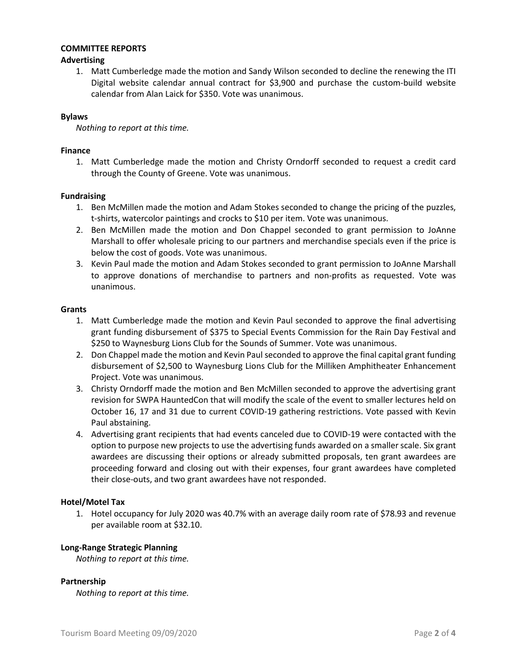#### **COMMITTEE REPORTS**

#### **Advertising**

1. Matt Cumberledge made the motion and Sandy Wilson seconded to decline the renewing the ITI Digital website calendar annual contract for \$3,900 and purchase the custom-build website calendar from Alan Laick for \$350. Vote was unanimous.

#### **Bylaws**

*Nothing to report at this time.*

#### **Finance**

1. Matt Cumberledge made the motion and Christy Orndorff seconded to request a credit card through the County of Greene. Vote was unanimous.

#### **Fundraising**

- 1. Ben McMillen made the motion and Adam Stokes seconded to change the pricing of the puzzles, t-shirts, watercolor paintings and crocks to \$10 per item. Vote was unanimous.
- 2. Ben McMillen made the motion and Don Chappel seconded to grant permission to JoAnne Marshall to offer wholesale pricing to our partners and merchandise specials even if the price is below the cost of goods. Vote was unanimous.
- 3. Kevin Paul made the motion and Adam Stokes seconded to grant permission to JoAnne Marshall to approve donations of merchandise to partners and non-profits as requested. Vote was unanimous.

#### **Grants**

- 1. Matt Cumberledge made the motion and Kevin Paul seconded to approve the final advertising grant funding disbursement of \$375 to Special Events Commission for the Rain Day Festival and \$250 to Waynesburg Lions Club for the Sounds of Summer. Vote was unanimous.
- 2. Don Chappel made the motion and Kevin Paul seconded to approve the final capital grant funding disbursement of \$2,500 to Waynesburg Lions Club for the Milliken Amphitheater Enhancement Project. Vote was unanimous.
- 3. Christy Orndorff made the motion and Ben McMillen seconded to approve the advertising grant revision for SWPA HauntedCon that will modify the scale of the event to smaller lectures held on October 16, 17 and 31 due to current COVID-19 gathering restrictions. Vote passed with Kevin Paul abstaining.
- 4. Advertising grant recipients that had events canceled due to COVID-19 were contacted with the option to purpose new projects to use the advertising funds awarded on a smaller scale. Six grant awardees are discussing their options or already submitted proposals, ten grant awardees are proceeding forward and closing out with their expenses, four grant awardees have completed their close-outs, and two grant awardees have not responded.

#### **Hotel/Motel Tax**

1. Hotel occupancy for July 2020 was 40.7% with an average daily room rate of \$78.93 and revenue per available room at \$32.10.

#### **Long-Range Strategic Planning**

*Nothing to report at this time.*

#### **Partnership**

*Nothing to report at this time.*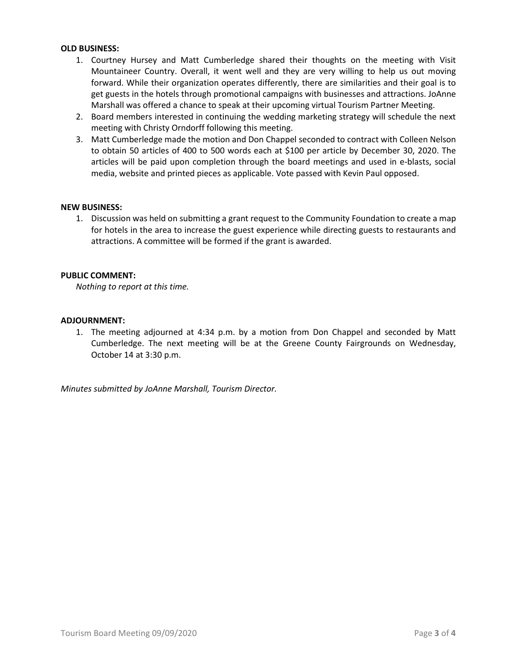#### **OLD BUSINESS:**

- 1. Courtney Hursey and Matt Cumberledge shared their thoughts on the meeting with Visit Mountaineer Country. Overall, it went well and they are very willing to help us out moving forward. While their organization operates differently, there are similarities and their goal is to get guests in the hotels through promotional campaigns with businesses and attractions. JoAnne Marshall was offered a chance to speak at their upcoming virtual Tourism Partner Meeting.
- 2. Board members interested in continuing the wedding marketing strategy will schedule the next meeting with Christy Orndorff following this meeting.
- 3. Matt Cumberledge made the motion and Don Chappel seconded to contract with Colleen Nelson to obtain 50 articles of 400 to 500 words each at \$100 per article by December 30, 2020. The articles will be paid upon completion through the board meetings and used in e-blasts, social media, website and printed pieces as applicable. Vote passed with Kevin Paul opposed.

#### **NEW BUSINESS:**

1. Discussion was held on submitting a grant request to the Community Foundation to create a map for hotels in the area to increase the guest experience while directing guests to restaurants and attractions. A committee will be formed if the grant is awarded.

#### **PUBLIC COMMENT:**

*Nothing to report at this time.*

#### **ADJOURNMENT:**

1. The meeting adjourned at 4:34 p.m. by a motion from Don Chappel and seconded by Matt Cumberledge. The next meeting will be at the Greene County Fairgrounds on Wednesday, October 14 at 3:30 p.m.

*Minutes submitted by JoAnne Marshall, Tourism Director.*